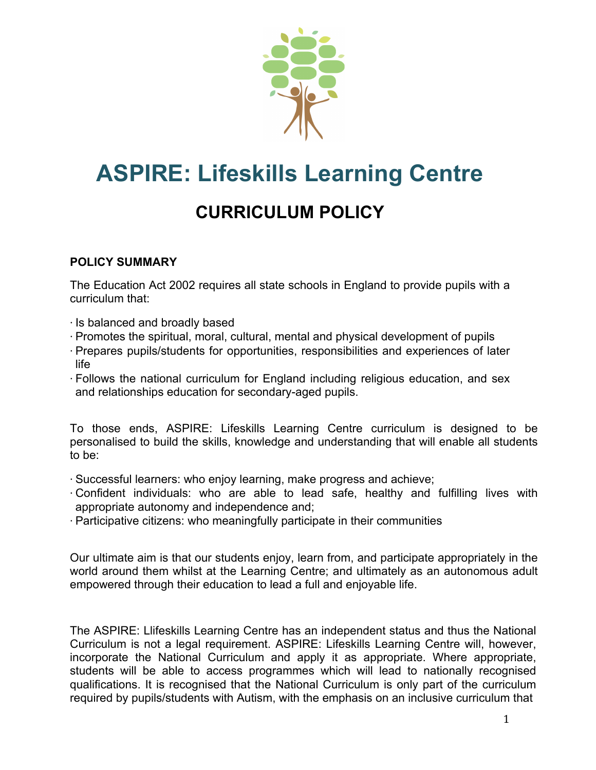

# **ASPIRE: Lifeskills Learning Centre**

# **CURRICULUM POLICY**

## **POLICY SUMMARY**

The Education Act 2002 requires all state schools in England to provide pupils with a curriculum that:

- ⋅ Is balanced and broadly based
- ⋅ Promotes the spiritual, moral, cultural, mental and physical development of pupils
- ⋅ Prepares pupils/students for opportunities, responsibilities and experiences of later life
- ⋅ Follows the national curriculum for England including religious education, and sex and relationships education for secondary-aged pupils.

To those ends, ASPIRE: Lifeskills Learning Centre curriculum is designed to be personalised to build the skills, knowledge and understanding that will enable all students to be:

- ⋅ Successful learners: who enjoy learning, make progress and achieve;
- ⋅ Confident individuals: who are able to lead safe, healthy and fulfilling lives with appropriate autonomy and independence and;
- ⋅ Participative citizens: who meaningfully participate in their communities

Our ultimate aim is that our students enjoy, learn from, and participate appropriately in the world around them whilst at the Learning Centre; and ultimately as an autonomous adult empowered through their education to lead a full and enjoyable life.

The ASPIRE: Llifeskills Learning Centre has an independent status and thus the National Curriculum is not a legal requirement. ASPIRE: Lifeskills Learning Centre will, however, incorporate the National Curriculum and apply it as appropriate. Where appropriate, students will be able to access programmes which will lead to nationally recognised qualifications. It is recognised that the National Curriculum is only part of the curriculum required by pupils/students with Autism, with the emphasis on an inclusive curriculum that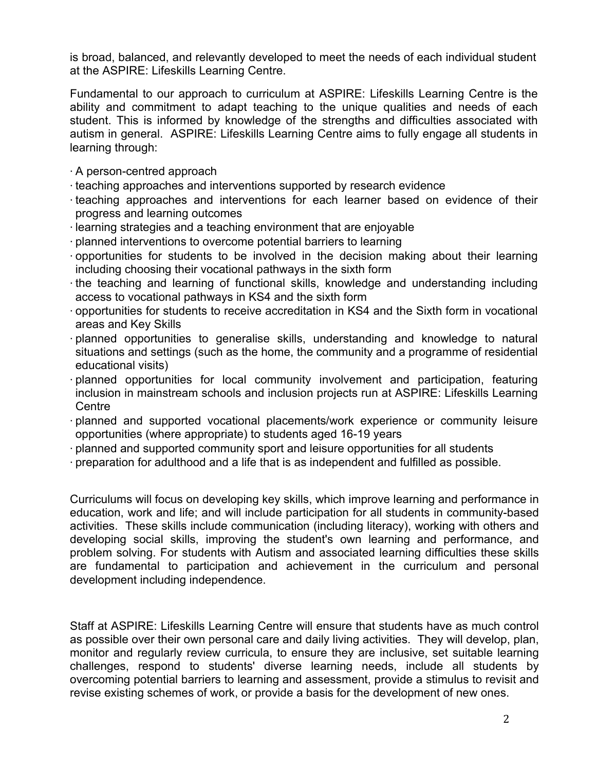is broad, balanced, and relevantly developed to meet the needs of each individual student at the ASPIRE: Lifeskills Learning Centre.

Fundamental to our approach to curriculum at ASPIRE: Lifeskills Learning Centre is the ability and commitment to adapt teaching to the unique qualities and needs of each student. This is informed by knowledge of the strengths and difficulties associated with autism in general. ASPIRE: Lifeskills Learning Centre aims to fully engage all students in learning through:

- ⋅ A person-centred approach
- ⋅ teaching approaches and interventions supported by research evidence
- ⋅ teaching approaches and interventions for each learner based on evidence of their progress and learning outcomes
- ⋅ learning strategies and a teaching environment that are enjoyable
- ⋅ planned interventions to overcome potential barriers to learning
- ⋅ opportunities for students to be involved in the decision making about their learning including choosing their vocational pathways in the sixth form
- ⋅ the teaching and learning of functional skills, knowledge and understanding including access to vocational pathways in KS4 and the sixth form
- ⋅ opportunities for students to receive accreditation in KS4 and the Sixth form in vocational areas and Key Skills
- ⋅ planned opportunities to generalise skills, understanding and knowledge to natural situations and settings (such as the home, the community and a programme of residential educational visits)
- ⋅ planned opportunities for local community involvement and participation, featuring inclusion in mainstream schools and inclusion projects run at ASPIRE: Lifeskills Learning **Centre**
- ⋅ planned and supported vocational placements/work experience or community leisure opportunities (where appropriate) to students aged 16-19 years
- ⋅ planned and supported community sport and leisure opportunities for all students
- ⋅ preparation for adulthood and a life that is as independent and fulfilled as possible.

Curriculums will focus on developing key skills, which improve learning and performance in education, work and life; and will include participation for all students in community-based activities. These skills include communication (including literacy), working with others and developing social skills, improving the student's own learning and performance, and problem solving. For students with Autism and associated learning difficulties these skills are fundamental to participation and achievement in the curriculum and personal development including independence.

Staff at ASPIRE: Lifeskills Learning Centre will ensure that students have as much control as possible over their own personal care and daily living activities. They will develop, plan, monitor and regularly review curricula, to ensure they are inclusive, set suitable learning challenges, respond to students' diverse learning needs, include all students by overcoming potential barriers to learning and assessment, provide a stimulus to revisit and revise existing schemes of work, or provide a basis for the development of new ones.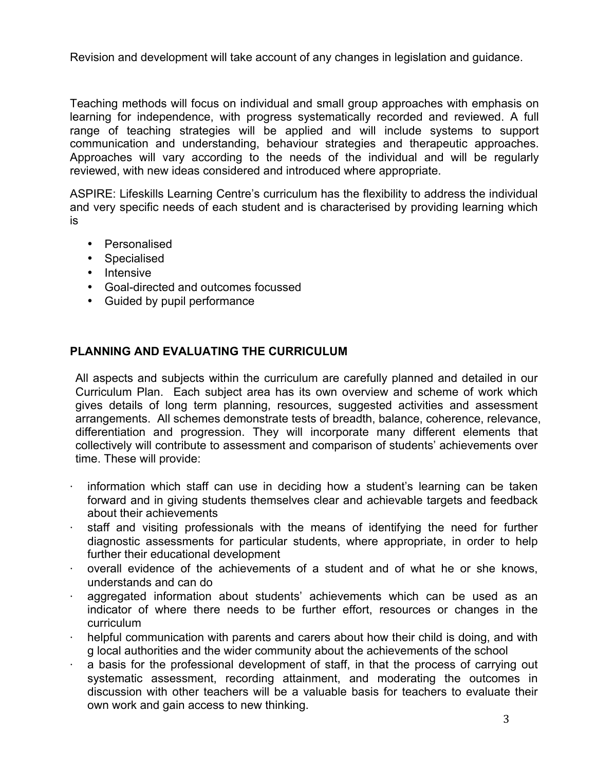Revision and development will take account of any changes in legislation and guidance.

Teaching methods will focus on individual and small group approaches with emphasis on learning for independence, with progress systematically recorded and reviewed. A full range of teaching strategies will be applied and will include systems to support communication and understanding, behaviour strategies and therapeutic approaches. Approaches will vary according to the needs of the individual and will be regularly reviewed, with new ideas considered and introduced where appropriate.

ASPIRE: Lifeskills Learning Centre's curriculum has the flexibility to address the individual and very specific needs of each student and is characterised by providing learning which is

- Personalised
- Specialised
- Intensive
- Goal-directed and outcomes focussed
- Guided by pupil performance

### **PLANNING AND EVALUATING THE CURRICULUM**

All aspects and subjects within the curriculum are carefully planned and detailed in our Curriculum Plan. Each subject area has its own overview and scheme of work which gives details of long term planning, resources, suggested activities and assessment arrangements. All schemes demonstrate tests of breadth, balance, coherence, relevance, differentiation and progression. They will incorporate many different elements that collectively will contribute to assessment and comparison of students' achievements over time. These will provide:

- information which staff can use in deciding how a student's learning can be taken forward and in giving students themselves clear and achievable targets and feedback about their achievements
- staff and visiting professionals with the means of identifying the need for further diagnostic assessments for particular students, where appropriate, in order to help further their educational development
- overall evidence of the achievements of a student and of what he or she knows, understands and can do
- aggregated information about students' achievements which can be used as an indicator of where there needs to be further effort, resources or changes in the curriculum
- helpful communication with parents and carers about how their child is doing, and with g local authorities and the wider community about the achievements of the school
- a basis for the professional development of staff, in that the process of carrying out systematic assessment, recording attainment, and moderating the outcomes in discussion with other teachers will be a valuable basis for teachers to evaluate their own work and gain access to new thinking.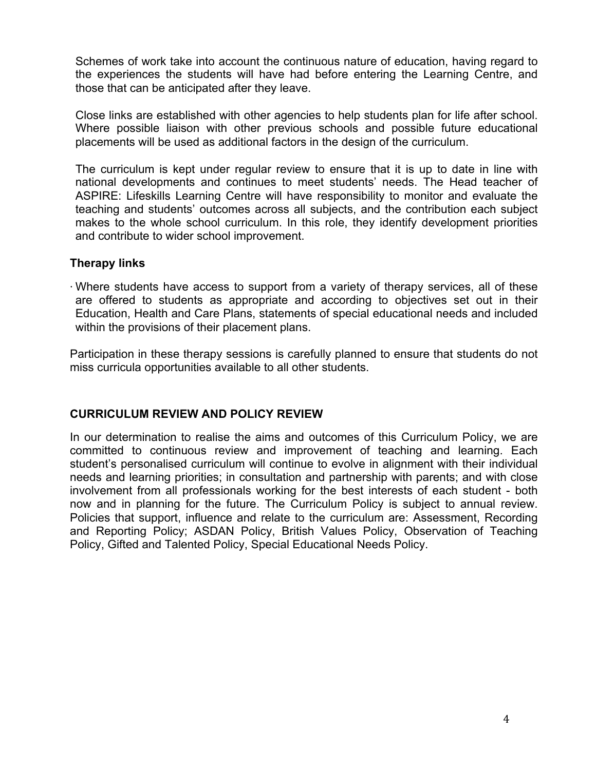Schemes of work take into account the continuous nature of education, having regard to the experiences the students will have had before entering the Learning Centre, and those that can be anticipated after they leave.

Close links are established with other agencies to help students plan for life after school. Where possible liaison with other previous schools and possible future educational placements will be used as additional factors in the design of the curriculum.

The curriculum is kept under regular review to ensure that it is up to date in line with national developments and continues to meet students' needs. The Head teacher of ASPIRE: Lifeskills Learning Centre will have responsibility to monitor and evaluate the teaching and students' outcomes across all subjects, and the contribution each subject makes to the whole school curriculum. In this role, they identify development priorities and contribute to wider school improvement.

#### **Therapy links**

⋅ Where students have access to support from a variety of therapy services, all of these are offered to students as appropriate and according to objectives set out in their Education, Health and Care Plans, statements of special educational needs and included within the provisions of their placement plans.

Participation in these therapy sessions is carefully planned to ensure that students do not miss curricula opportunities available to all other students.

#### **CURRICULUM REVIEW AND POLICY REVIEW**

In our determination to realise the aims and outcomes of this Curriculum Policy, we are committed to continuous review and improvement of teaching and learning. Each student's personalised curriculum will continue to evolve in alignment with their individual needs and learning priorities; in consultation and partnership with parents; and with close involvement from all professionals working for the best interests of each student - both now and in planning for the future. The Curriculum Policy is subject to annual review. Policies that support, influence and relate to the curriculum are: Assessment, Recording and Reporting Policy; ASDAN Policy, British Values Policy, Observation of Teaching Policy, Gifted and Talented Policy, Special Educational Needs Policy.